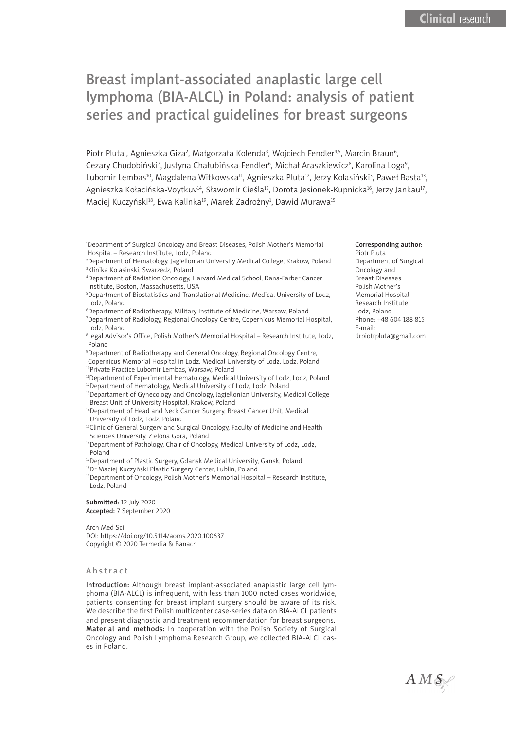# Breast implant-associated anaplastic large cell lymphoma (BIA-ALCL) in Poland: analysis of patient series and practical guidelines for breast surgeons

Piotr Pluta<sup>1</sup>, Agnieszka Giza<sup>2</sup>, Małgorzata Kolenda<sup>3</sup>, Wojciech Fendler<sup>4,5</sup>, Marcin Braun<sup>6</sup>, Cezary Chudobiński<sup>7</sup>, Justyna Chałubińska-Fendler<sup>6</sup>, Michał Araszkiewicz<sup>8</sup>, Karolina Loga<sup>9</sup>, Lubomir Lembas<sup>10</sup>, Magdalena Witkowska<sup>11</sup>, Agnieszka Pluta<sup>12</sup>, Jerzy Kolasiński<sup>3</sup>, Paweł Basta<sup>13</sup>, Agnieszka Kołacińska-Voytkuv<sup>14</sup>, Sławomir Cieśla<sup>15</sup>, Dorota Jesionek-Kupnicka<sup>16</sup>, Jerzy Jankau<sup>17</sup>, Maciej Kuczyński $^{\scriptscriptstyle 18}$ , Ewa Kalinka $^{\scriptscriptstyle 19}$ , Marek Zadrożnył, Dawid Murawa $^{\scriptscriptstyle 15}$ 

1 Department of Surgical Oncology and Breast Diseases, Polish Mother's Memorial Hospital – Research Institute, Lodz, Poland

- 2 Department of Hematology, Jagiellonian University Medical College, Krakow, Poland 3 Klinika Kolasinski, Swarzedz, Poland
- 4 Department of Radiation Oncology, Harvard Medical School, Dana-Farber Cancer Institute, Boston, Massachusetts, USA
- 5 Department of Biostatistics and Translational Medicine, Medical University of Lodz, Lodz, Poland

6 Department of Radiotherapy, Military Institute of Medicine, Warsaw, Poland

7 Department of Radiology, Regional Oncology Centre, Copernicus Memorial Hospital, Lodz, Poland

8 Legal Advisor's Office, Polish Mother's Memorial Hospital – Research Institute, Lodz, Poland

9 Department of Radiotherapy and General Oncology, Regional Oncology Centre, Copernicus Memorial Hospital in Lodz, Medical University of Lodz, Lodz, Poland 10Private Practice Lubomir Lembas, Warsaw, Poland

<sup>11</sup>Department of Experimental Hematology, Medical University of Lodz, Lodz, Poland <sup>12</sup>Department of Hematology, Medical University of Lodz, Lodz, Poland

<sup>13</sup>Departament of Gynecology and Oncology, Jagiellonian University, Medical College Breast Unit of University Hospital, Krakow, Poland

- <sup>14</sup>Department of Head and Neck Cancer Surgery, Breast Cancer Unit, Medical University of Lodz, Lodz, Poland
- <sup>15</sup>Clinic of General Surgery and Surgical Oncology, Faculty of Medicine and Health Sciences University, Zielona Gora, Poland
- <sup>16</sup>Department of Pathology, Chair of Oncology, Medical University of Lodz, Lodz, Poland

<sup>17</sup>Department of Plastic Surgery, Gdansk Medical University, Gansk, Poland

<sup>18</sup>Dr Maciej Kuczyński Plastic Surgery Center, Lublin, Poland

<sup>19</sup>Department of Oncology, Polish Mother's Memorial Hospital - Research Institute, Lodz, Poland

Submitted: 12 July 2020 Accepted: 7 September 2020

Arch Med Sci DOI: https://doi.org/10.5114/aoms.2020.100637 Copyright © 2020 Termedia & Banach

#### **Abstract**

Introduction: Although breast implant-associated anaplastic large cell lymphoma (BIA-ALCL) is infrequent, with less than 1000 noted cases worldwide, patients consenting for breast implant surgery should be aware of its risk. We describe the first Polish multicenter case-series data on BIA-ALCL patients and present diagnostic and treatment recommendation for breast surgeons. Material and methods: In cooperation with the Polish Society of Surgical Oncology and Polish Lymphoma Research Group, we collected BIA-ALCL cases in Poland.

#### Corresponding author:

Piotr Pluta Department of Surgical Oncology and Breast Diseases Polish Mother's Memorial Hospital – Research Institute Lodz, Poland Phone: +48 604 188 815 E-mail: drpiotrpluta@gmail.com

 $AMS$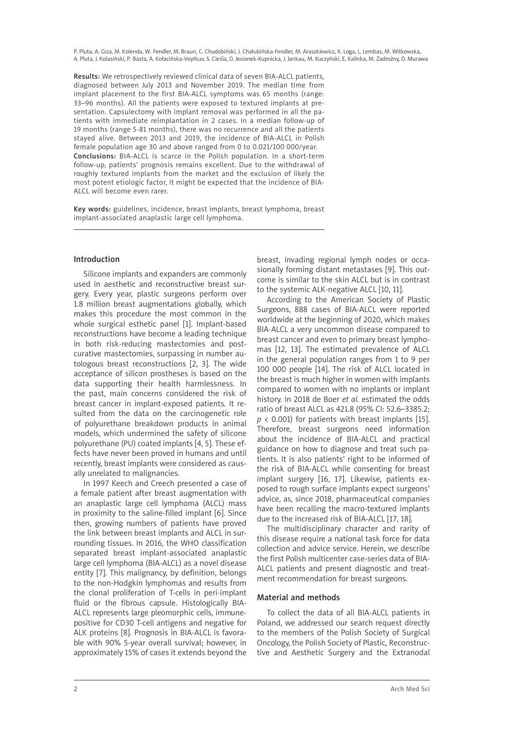P. Pluta, A. Giza, M. Kolenda, W. Fendler, M. Braun, C. Chudobiński, J. Chałubińska-Fendler, M. Araszkiewicz, K. Loga, L. Lembas, M. Witkowska, A. Pluta, J. Kolasiński, P. Basta, A. Kołacińska-Voytkuv, S. Cieśla, D. Jesionek-Kupnicka, J. Jankau, M. Kuczyński, E. Kalinka, M. Zadrożny, D. Murawa

Results: We retrospectively reviewed clinical data of seven BIA-ALCL patients, diagnosed between July 2013 and November 2019. The median time from implant placement to the first BIA-ALCL symptoms was 65 months (range: 33–96 months). All the patients were exposed to textured implants at presentation. Capsulectomy with implant removal was performed in all the patients with immediate reimplantation in 2 cases. In a median follow-up of 19 months (range 5-81 months), there was no recurrence and all the patients stayed alive. Between 2013 and 2019, the incidence of BIA-ALCL in Polish female population age 30 and above ranged from 0 to 0.021/100 000/year. Conclusions: BIA-ALCL is scarce in the Polish population. In a short-term follow-up, patients' prognosis remains excellent. Due to the withdrawal of roughly textured implants from the market and the exclusion of likely the most potent etiologic factor, it might be expected that the incidence of BIA-ALCL will become even rarer.

Key words: guidelines, incidence, breast implants, breast lymphoma, breast implant-associated anaplastic large cell lymphoma.

### Introduction

Silicone implants and expanders are commonly used in aesthetic and reconstructive breast surgery. Every year, plastic surgeons perform over 1.8 million breast augmentations globally, which makes this procedure the most common in the whole surgical esthetic panel [1]. Implant-based reconstructions have become a leading technique in both risk-reducing mastectomies and postcurative mastectomies, surpassing in number autologous breast reconstructions [2, 3]. The wide acceptance of silicon prostheses is based on the data supporting their health harmlessness. In the past, main concerns considered the risk of breast cancer in implant-exposed patients. It resulted from the data on the carcinogenetic role of polyurethane breakdown products in animal models, which undermined the safety of silicone polyurethane (PU) coated implants [4, 5]. These effects have never been proved in humans and until recently, breast implants were considered as causally unrelated to malignancies.

In 1997 Keech and Creech presented a case of a female patient after breast augmentation with an anaplastic large cell lymphoma (ALCL) mass in proximity to the saline-filled implant [6]. Since then, growing numbers of patients have proved the link between breast implants and ALCL in surrounding tissues. In 2016, the WHO classification separated breast implant-associated anaplastic large cell lymphoma (BIA-ALCL) as a novel disease entity [7]. This malignancy, by definition, belongs to the non-Hodgkin lymphomas and results from the clonal proliferation of T-cells in peri-implant fluid or the fibrous capsule. Histologically BIA-ALCL represents large pleomorphic cells, immunepositive for CD30 T-cell antigens and negative for ALK proteins [8]. Prognosis in BIA-ALCL is favorable with 90% 5-year overall survival; however, in approximately 15% of cases it extends beyond the

breast, invading regional lymph nodes or occasionally forming distant metastases [9]. This outcome is similar to the skin ALCL but is in contrast to the systemic ALK-negative ALCL [10, 11].

According to the American Society of Plastic Surgeons, 888 cases of BIA-ALCL were reported worldwide at the beginning of 2020, which makes BIA-ALCL a very uncommon disease compared to breast cancer and even to primary breast lymphomas [12, 13]. The estimated prevalence of ALCL in the general population ranges from 1 to 9 per 100 000 people [14]. The risk of ALCL located in the breast is much higher in women with implants compared to women with no implants or implant history. In 2018 de Boer *et al.* estimated the odds ratio of breast ALCL as 421.8 (95% CI: 52.6–3385.2;  $p$  < 0.001) for patients with breast implants [15]. Therefore, breast surgeons need information about the incidence of BIA-ALCL and practical guidance on how to diagnose and treat such patients. It is also patients' right to be informed of the risk of BIA-ALCL while consenting for breast implant surgery [16, 17]. Likewise, patients exposed to rough surface implants expect surgeons' advice, as, since 2018, pharmaceutical companies have been recalling the macro-textured implants due to the increased risk of BIA-ALCL [17, 18].

The multidisciplinary character and rarity of this disease require a national task force for data collection and advice service. Herein, we describe the first Polish multicenter case-series data of BIA-ALCL patients and present diagnostic and treatment recommendation for breast surgeons.

### Material and methods

To collect the data of all BIA-ALCL patients in Poland, we addressed our search request directly to the members of the Polish Society of Surgical Oncology, the Polish Society of Plastic, Reconstructive and Aesthetic Surgery and the Extranodal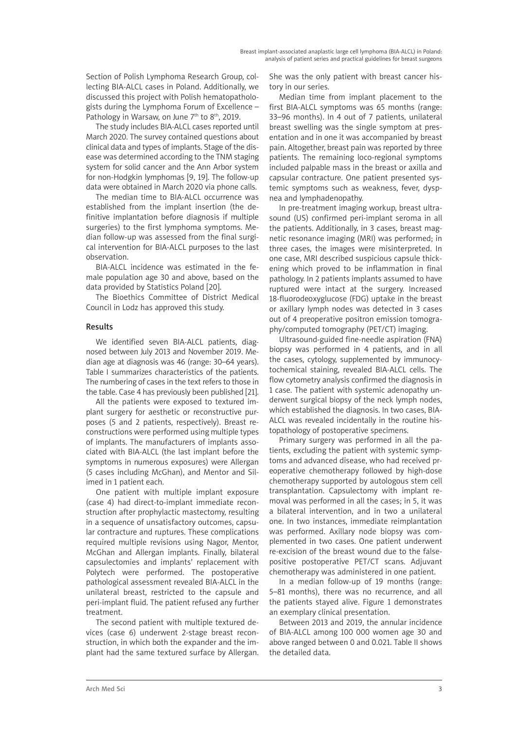Section of Polish Lymphoma Research Group, collecting BIA-ALCL cases in Poland. Additionally, we discussed this project with Polish hematopathologists during the Lymphoma Forum of Excellence – Pathology in Warsaw, on June  $7<sup>th</sup>$  to  $8<sup>th</sup>$ , 2019.

The study includes BIA-ALCL cases reported until March 2020. The survey contained questions about clinical data and types of implants. Stage of the disease was determined according to the TNM staging system for solid cancer and the Ann Arbor system for non-Hodgkin lymphomas [9, 19]. The follow-up data were obtained in March 2020 via phone calls.

The median time to BIA-ALCL occurrence was established from the implant insertion (the definitive implantation before diagnosis if multiple surgeries) to the first lymphoma symptoms. Median follow-up was assessed from the final surgical intervention for BIA-ALCL purposes to the last observation.

BIA-ALCL incidence was estimated in the female population age 30 and above, based on the data provided by Statistics Poland [20].

The Bioethics Committee of District Medical Council in Lodz has approved this study.

## Results

We identified seven BIA-ALCL patients, diagnosed between July 2013 and November 2019. Median age at diagnosis was 46 (range: 30–64 years). Table I summarizes characteristics of the patients. The numbering of cases in the text refers to those in the table. Case 4 has previously been published [21].

All the patients were exposed to textured implant surgery for aesthetic or reconstructive purposes (5 and 2 patients, respectively). Breast reconstructions were performed using multiple types of implants. The manufacturers of implants associated with BIA-ALCL (the last implant before the symptoms in numerous exposures) were Allergan (5 cases including McGhan), and Mentor and Silimed in 1 patient each.

One patient with multiple implant exposure (case 4) had direct-to-implant immediate reconstruction after prophylactic mastectomy, resulting in a sequence of unsatisfactory outcomes, capsular contracture and ruptures. These complications required multiple revisions using Nagor, Mentor, McGhan and Allergan implants. Finally, bilateral capsulectomies and implants' replacement with Polytech were performed. The postoperative pathological assessment revealed BIA-ALCL in the unilateral breast, restricted to the capsule and peri-implant fluid. The patient refused any further treatment.

The second patient with multiple textured devices (case 6) underwent 2-stage breast reconstruction, in which both the expander and the implant had the same textured surface by Allergan. She was the only patient with breast cancer history in our series.

Median time from implant placement to the first BIA-ALCL symptoms was 65 months (range: 33–96 months). In 4 out of 7 patients, unilateral breast swelling was the single symptom at presentation and in one it was accompanied by breast pain. Altogether, breast pain was reported by three patients. The remaining loco-regional symptoms included palpable mass in the breast or axilla and capsular contracture. One patient presented systemic symptoms such as weakness, fever, dyspnea and lymphadenopathy.

In pre-treatment imaging workup, breast ultrasound (US) confirmed peri-implant seroma in all the patients. Additionally, in 3 cases, breast magnetic resonance imaging (MRI) was performed; in three cases, the images were misinterpreted. In one case, MRI described suspicious capsule thickening which proved to be inflammation in final pathology. In 2 patients implants assumed to have ruptured were intact at the surgery. Increased 18-fluorodeoxyglucose (FDG) uptake in the breast or axillary lymph nodes was detected in 3 cases out of 4 preoperative positron emission tomography/computed tomography (PET/CT) imaging.

Ultrasound-guided fine-needle aspiration (FNA) biopsy was performed in 4 patients, and in all the cases, cytology, supplemented by immunocytochemical staining, revealed BIA-ALCL cells. The flow cytometry analysis confirmed the diagnosis in 1 case. The patient with systemic adenopathy underwent surgical biopsy of the neck lymph nodes, which established the diagnosis. In two cases, BIA-ALCL was revealed incidentally in the routine histopathology of postoperative specimens.

Primary surgery was performed in all the patients, excluding the patient with systemic symptoms and advanced disease, who had received preoperative chemotherapy followed by high-dose chemotherapy supported by autologous stem cell transplantation. Capsulectomy with implant removal was performed in all the cases; in 5, it was a bilateral intervention, and in two a unilateral one. In two instances, immediate reimplantation was performed. Axillary node biopsy was complemented in two cases. One patient underwent re-excision of the breast wound due to the falsepositive postoperative PET/CT scans. Adjuvant chemotherapy was administered in one patient.

In a median follow-up of 19 months (range: 5–81 months), there was no recurrence, and all the patients stayed alive. Figure 1 demonstrates an exemplary clinical presentation.

Between 2013 and 2019, the annular incidence of BIA-ALCL among 100 000 women age 30 and above ranged between 0 and 0.021. Table II shows the detailed data.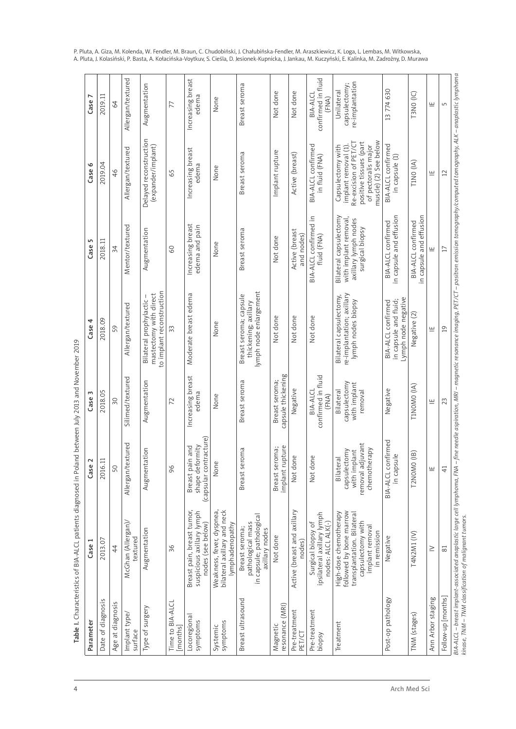| Parameter                    | Case                                                                                                                                    | Case 2                                                                        | Case:                                                | Case 4                                                                         | S<br>Case                                                                                  | o<br>Case                                                                                                                                    | L<br>Case                                      |
|------------------------------|-----------------------------------------------------------------------------------------------------------------------------------------|-------------------------------------------------------------------------------|------------------------------------------------------|--------------------------------------------------------------------------------|--------------------------------------------------------------------------------------------|----------------------------------------------------------------------------------------------------------------------------------------------|------------------------------------------------|
| Date of diagnosis            | 2013.07                                                                                                                                 | 2016.11                                                                       | 2018.05                                              | 2018.09                                                                        | 2018.11                                                                                    | 2019.04                                                                                                                                      | 2019.11                                        |
| Age at diagnosis             | 44                                                                                                                                      | 50                                                                            | $\overline{50}$                                      | 59                                                                             | 34                                                                                         | 46                                                                                                                                           | 64                                             |
| Implant type/<br>surface     | McGhan (Allergan)/<br>textured                                                                                                          | Allergan/textured                                                             | Silimed/textured                                     | Allergan/textured                                                              | Mentor/textured                                                                            | Allergan/textured                                                                                                                            | Allergan/textured                              |
| Type of surgery              | Augmentation                                                                                                                            | noi.<br>Augmentat                                                             | Augmentation                                         | to implant reconstruction<br>mastectomy with direct<br>Bilateral prophylactic- | Augmentation                                                                               | Delayed reconstruction<br>(expander/implant)                                                                                                 | Augmentation                                   |
| Time to BIA-ALCL<br>[months] | 36                                                                                                                                      | 96                                                                            | 72                                                   | 33                                                                             | 60                                                                                         | 65                                                                                                                                           | 77                                             |
| Locoregional<br>symptoms     | Breast pain, breast tumor,<br>suspicious axillary lymph<br>nodes (see below)                                                            | (capsular contracture)<br>shape deformity<br>and<br>Breast pain               | Increasing breast<br>edema                           | Moderate breast edema                                                          | Increasing breast<br>edema and pain                                                        | Increasing breast<br>edema                                                                                                                   | Increasing breast<br>edema                     |
| symptoms<br>Systemic         | bilateral axillary and neck<br>Weakness, fever, dyspnea,<br>lymphadenopathy                                                             | None                                                                          | None                                                 | None                                                                           | None                                                                                       | None                                                                                                                                         | None                                           |
| Breast ultrasound            | in capsule; pathological<br>pathological mass<br>Breast seroma;<br>axillary nodes                                                       | Breast seroma                                                                 | Breast seroma                                        | lymph node enlargement<br>Breast seroma; capsule<br>thickening; axillary       | Breast seroma                                                                              | Breast seroma                                                                                                                                | Breast seroma                                  |
| resonance (MRI)<br>Magnetic  | Not done                                                                                                                                | implant rupture<br>Breast seroma;                                             | capsule thickening<br>Breast seroma;                 | Not done                                                                       | Not done                                                                                   | Implant rupture                                                                                                                              | Not done                                       |
| Pre-treatment<br>PET/CT      | Active (breast and axillary<br>nodes)                                                                                                   | Not done                                                                      | Negative                                             | Not done                                                                       | Active (breast<br>and nodes)                                                               | Active (breast)                                                                                                                              | Not done                                       |
| Pre-treatment<br>biopsy      | ipsilateral axillary lymph<br>nodes: ALCL ALK(-)<br>Surgical biopsy of                                                                  | Not done                                                                      | confirmed in fluid<br>BIA-ALCL<br>(FNA)              | Not done                                                                       | BIA-ALCL confirmed in<br>fluid (FNA)                                                       | <b>BIA-ALCL</b> confirmed<br>in fluid (FNA)                                                                                                  | confirmed in fluid<br>BIA-ALCL<br>(FNA)        |
| Treatment                    | followed by bone marrow<br>High-dose chemotherapy<br>transplantation. Bilateral<br>capsulectomy with<br>implant removal<br>in remission | removal adjuvant<br>chemotherapy<br>with implant<br>capsulectomy<br>Bilateral | capsulectomy<br>with implant<br>Bilateral<br>removal | re-implantation; axillary<br>Bilateral capsulectomy,<br>lymph nodes biopsy     | Bilateral capsulectomy<br>with implant removal,<br>axillary lymph nodes<br>surgical biopsy | muscle) (2) See below<br>positive tissues (part<br>Re-excision of PET/CT<br>of pectoralis major<br>Capsulectomy with<br>implant removal (1). | re-implantation<br>capsulectomy;<br>Unilateral |
| Post-op pathology            | Negative                                                                                                                                | BIA-ALCL confirmed<br>in capsule                                              | Negative                                             | Lymph node negative<br>in capsule and fluid;<br><b>BIA-ALCL</b> confirmed      | in capsule and effusion<br><b>BIA-ALCL</b> confirmed                                       | BIA-ALCL confirmed<br>in capsule (1)                                                                                                         | 13774630                                       |
| TNM (stages)                 | T4N2M1 (IV)                                                                                                                             | T2NOMO (IB)                                                                   | TINOMO (IA)                                          | Negative (2)                                                                   | in capsule and effusion<br><b>BIA-ALCL</b> confirmed                                       | TINO (IA)                                                                                                                                    | T3NO (IC)                                      |
| Ann Arbor staging            | $\geq$                                                                                                                                  | щ                                                                             | 쁘                                                    | 쁘                                                                              | 트                                                                                          | 쁘                                                                                                                                            | 쁘                                              |
| Follow-up [months]           | $\approx$                                                                                                                               | $\overline{4}$                                                                | 23                                                   | $\overline{0}$                                                                 | $\Box$                                                                                     | $\overline{12}$                                                                                                                              | 5                                              |

P. Pluta, A. Giza, M. Kolenda, W. Fendler, M. Braun, C. Chudobiński, J. Chałubińska-Fendler, M. Araszkiewicz, K. Loga, L. Lembas, M. Witkowska, A. Pluta, J. Kolasiński, P. Basta, A. Kołacińska-Voytkuv, S. Cieśla, D. Jesionek-Kupnicka, J. Jankau, M. Kuczyński, E. Kalinka, M. Zadrożny, D. Murawa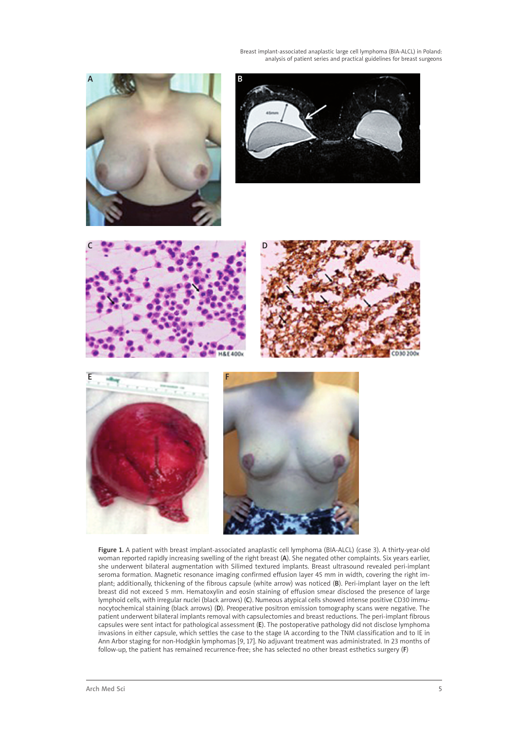Breast implant-associated anaplastic large cell lymphoma (BIA-ALCL) in Poland: analysis of patient series and practical guidelines for breast surgeons













Figure 1. A patient with breast implant-associated anaplastic cell lymphoma (BIA-ALCL) (case 3). A thirty-year-old woman reported rapidly increasing swelling of the right breast (A). She negated other complaints. Six years earlier, she underwent bilateral augmentation with Silimed textured implants. Breast ultrasound revealed peri-implant seroma formation. Magnetic resonance imaging confirmed effusion layer 45 mm in width, covering the right implant; additionally, thickening of the fibrous capsule (white arrow) was noticed (B). Peri-implant layer on the left breast did not exceed 5 mm. Hematoxylin and eosin staining of effusion smear disclosed the presence of large lymphoid cells, with irregular nuclei (black arrows) (C). Numeous atypical cells showed intense positive CD30 immunocytochemical staining (black arrows) (D). Preoperative positron emission tomography scans were negative. The patient underwent bilateral implants removal with capsulectomies and breast reductions. The peri-implant fibrous capsules were sent intact for pathological assessment (E). The postoperative pathology did not disclose lymphoma invasions in either capsule, which settles the case to the stage IA according to the TNM classification and to IE in Ann Arbor staging for non-Hodgkin lymphomas [9, 17]. No adjuvant treatment was administrated. In 23 months of follow-up, the patient has remained recurrence-free; she has selected no other breast esthetics surgery (F)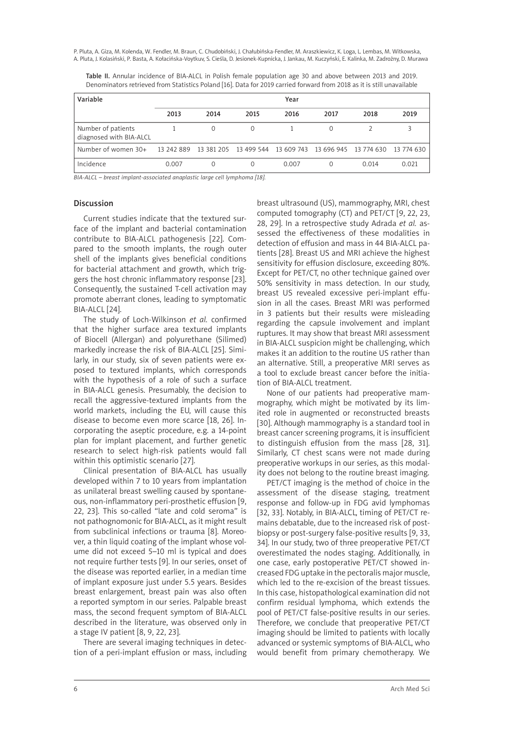P. Pluta, A. Giza, M. Kolenda, W. Fendler, M. Braun, C. Chudobiński, J. Chałubińska-Fendler, M. Araszkiewicz, K. Loga, L. Lembas, M. Witkowska, A. Pluta, J. Kolasiński, P. Basta, A. Kołacińska-Voytkuv, S. Cieśla, D. Jesionek-Kupnicka, J. Jankau, M. Kuczyński, E. Kalinka, M. Zadrożny, D. Murawa

Table II. Annular incidence of BIA-ALCL in Polish female population age 30 and above between 2013 and 2019. Denominators retrieved from Statistics Poland [16]. Data for 2019 carried forward from 2018 as it is still unavailable

| Variable                                      |            |      |                                                        | Year  |      |       |            |
|-----------------------------------------------|------------|------|--------------------------------------------------------|-------|------|-------|------------|
|                                               | 2013       | 2014 | 2015                                                   | 2016  | 2017 | 2018  | 2019       |
| Number of patients<br>diagnosed with BIA-ALCL |            | 0    | $\Omega$                                               |       |      |       |            |
| Number of women 30+                           | 13 242 889 |      | 13 381 205 13 499 544 13 609 743 13 696 945 13 774 630 |       |      |       | 13 774 630 |
| Incidence                                     | 0.007      |      | $\Omega$                                               | 0.007 |      | 0.014 | 0.021      |

*BIA-ALCL – breast implant-associated anaplastic large cell lymphoma [18].*

### Discussion

Current studies indicate that the textured surface of the implant and bacterial contamination contribute to BIA-ALCL pathogenesis [22]. Compared to the smooth implants, the rough outer shell of the implants gives beneficial conditions for bacterial attachment and growth, which triggers the host chronic inflammatory response [23]. Consequently, the sustained T-cell activation may promote aberrant clones, leading to symptomatic BIA-ALCL [24].

The study of Loch-Wilkinson *et al.* confirmed that the higher surface area textured implants of Biocell (Allergan) and polyurethane (Silimed) markedly increase the risk of BIA-ALCL [25]. Similarly, in our study, six of seven patients were exposed to textured implants, which corresponds with the hypothesis of a role of such a surface in BIA-ALCL genesis. Presumably, the decision to recall the aggressive-textured implants from the world markets, including the EU, will cause this disease to become even more scarce [18, 26]. Incorporating the aseptic procedure, e.g. a 14-point plan for implant placement, and further genetic research to select high-risk patients would fall within this optimistic scenario [27].

Clinical presentation of BIA-ALCL has usually developed within 7 to 10 years from implantation as unilateral breast swelling caused by spontaneous, non-inflammatory peri-prosthetic effusion [9, 22, 23]. This so-called "late and cold seroma" is not pathognomonic for BIA-ALCL, as it might result from subclinical infections or trauma [8]. Moreover, a thin liquid coating of the implant whose volume did not exceed 5–10 ml is typical and does not require further tests [9]. In our series, onset of the disease was reported earlier, in a median time of implant exposure just under 5.5 years. Besides breast enlargement, breast pain was also often a reported symptom in our series. Palpable breast mass, the second frequent symptom of BIA-ALCL described in the literature, was observed only in a stage IV patient [8, 9, 22, 23].

There are several imaging techniques in detection of a peri-implant effusion or mass, including

breast ultrasound (US), mammography, MRI, chest computed tomography (CT) and PET/CT [9, 22, 23, 28, 29]. In a retrospective study Adrada *et al.* assessed the effectiveness of these modalities in detection of effusion and mass in 44 BIA-ALCL patients [28]. Breast US and MRI achieve the highest sensitivity for effusion disclosure, exceeding 80%. Except for PET/CT, no other technique gained over 50% sensitivity in mass detection. In our study, breast US revealed excessive peri-implant effusion in all the cases. Breast MRI was performed in 3 patients but their results were misleading regarding the capsule involvement and implant ruptures. It may show that breast MRI assessment in BIA-ALCL suspicion might be challenging, which makes it an addition to the routine US rather than an alternative. Still, a preoperative MRI serves as a tool to exclude breast cancer before the initiation of BIA-ALCL treatment.

None of our patients had preoperative mammography, which might be motivated by its limited role in augmented or reconstructed breasts [30]. Although mammography is a standard tool in breast cancer screening programs, it is insufficient to distinguish effusion from the mass [28, 31]. Similarly, CT chest scans were not made during preoperative workups in our series, as this modality does not belong to the routine breast imaging.

PET/CT imaging is the method of choice in the assessment of the disease staging, treatment response and follow-up in FDG avid lymphomas [32, 33]. Notably, in BIA-ALCL, timing of PET/CT remains debatable, due to the increased risk of postbiopsy or post-surgery false-positive results [9, 33, 34]. In our study, two of three preoperative PET/CT overestimated the nodes staging. Additionally, in one case, early postoperative PET/CT showed increased FDG uptake in the pectoralis major muscle, which led to the re-excision of the breast tissues. In this case, histopathological examination did not confirm residual lymphoma, which extends the pool of PET/CT false-positive results in our series. Therefore, we conclude that preoperative PET/CT imaging should be limited to patients with locally advanced or systemic symptoms of BIA-ALCL, who would benefit from primary chemotherapy. We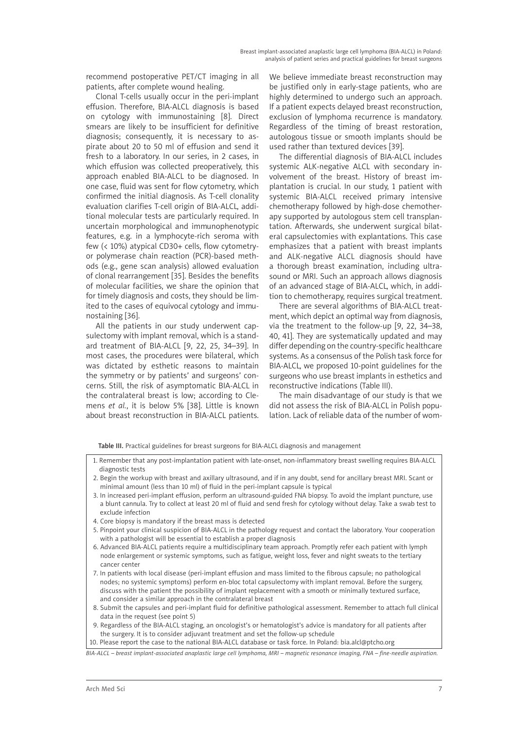recommend postoperative PET/CT imaging in all patients, after complete wound healing.

Clonal T-cells usually occur in the peri-implant effusion. Therefore, BIA-ALCL diagnosis is based on cytology with immunostaining [8]. Direct smears are likely to be insufficient for definitive diagnosis; consequently, it is necessary to aspirate about 20 to 50 ml of effusion and send it fresh to a laboratory. In our series, in 2 cases, in which effusion was collected preoperatively, this approach enabled BIA-ALCL to be diagnosed. In one case, fluid was sent for flow cytometry, which confirmed the initial diagnosis. As T-cell clonality evaluation clarifies T-cell origin of BIA-ALCL, additional molecular tests are particularly required. In uncertain morphological and immunophenotypic features, e.g. in a lymphocyte-rich seroma with few (< 10%) atypical CD30+ cells, flow cytometryor polymerase chain reaction (PCR)-based methods (e.g., gene scan analysis) allowed evaluation of clonal rearrangement [35]. Besides the benefits of molecular facilities, we share the opinion that for timely diagnosis and costs, they should be limited to the cases of equivocal cytology and immunostaining [36].

All the patients in our study underwent capsulectomy with implant removal, which is a standard treatment of BIA-ALCL [9, 22, 25, 34–39]. In most cases, the procedures were bilateral, which was dictated by esthetic reasons to maintain the symmetry or by patients' and surgeons' concerns. Still, the risk of asymptomatic BIA-ALCL in the contralateral breast is low; according to Clemens *et al.*, it is below 5% [38]. Little is known about breast reconstruction in BIA-ALCL patients.

We believe immediate breast reconstruction may be justified only in early-stage patients, who are highly determined to undergo such an approach. If a patient expects delayed breast reconstruction, exclusion of lymphoma recurrence is mandatory. Regardless of the timing of breast restoration, autologous tissue or smooth implants should be used rather than textured devices [39].

The differential diagnosis of BIA-ALCL includes systemic ALK-negative ALCL with secondary involvement of the breast. History of breast implantation is crucial. In our study, 1 patient with systemic BIA-ALCL received primary intensive chemotherapy followed by high-dose chemotherapy supported by autologous stem cell transplantation. Afterwards, she underwent surgical bilateral capsulectomies with explantations. This case emphasizes that a patient with breast implants and ALK-negative ALCL diagnosis should have a thorough breast examination, including ultrasound or MRI. Such an approach allows diagnosis of an advanced stage of BIA-ALCL, which, in addition to chemotherapy, requires surgical treatment.

There are several algorithms of BIA-ALCL treatment, which depict an optimal way from diagnosis, via the treatment to the follow-up [9, 22, 34–38, 40, 41]. They are systematically updated and may differ depending on the country-specific healthcare systems. As a consensus of the Polish task force for BIA-ALCL, we proposed 10-point guidelines for the surgeons who use breast implants in esthetics and reconstructive indications (Table III).

The main disadvantage of our study is that we did not assess the risk of BIA-ALCL in Polish population. Lack of reliable data of the number of wom-

Table III. Practical guidelines for breast surgeons for BIA-ALCL diagnosis and management

- 1. Remember that any post-implantation patient with late-onset, non-inflammatory breast swelling requires BIA-ALCL diagnostic tests
- 2. Begin the workup with breast and axillary ultrasound, and if in any doubt, send for ancillary breast MRI. Scant or minimal amount (less than 10 ml) of fluid in the peri-implant capsule is typical
- 3. In increased peri-implant effusion, perform an ultrasound-guided FNA biopsy. To avoid the implant puncture, use a blunt cannula. Try to collect at least 20 ml of fluid and send fresh for cytology without delay. Take a swab test to exclude infection
- 4. Core biopsy is mandatory if the breast mass is detected
- 5. Pinpoint your clinical suspicion of BIA-ALCL in the pathology request and contact the laboratory. Your cooperation with a pathologist will be essential to establish a proper diagnosis
- 6. Advanced BIA-ALCL patients require a multidisciplinary team approach. Promptly refer each patient with lymph node enlargement or systemic symptoms, such as fatigue, weight loss, fever and night sweats to the tertiary cancer center
- 7. In patients with local disease (peri-implant effusion and mass limited to the fibrous capsule; no pathological nodes; no systemic symptoms) perform en-bloc total capsulectomy with implant removal. Before the surgery, discuss with the patient the possibility of implant replacement with a smooth or minimally textured surface, and consider a similar approach in the contralateral breast
- 8. Submit the capsules and peri-implant fluid for definitive pathological assessment. Remember to attach full clinical data in the request (see point 5)
- 9. Regardless of the BIA-ALCL staging, an oncologist's or hematologist's advice is mandatory for all patients after the surgery. It is to consider adjuvant treatment and set the follow-up schedule

10. Please report the case to the national BIA-ALCL database or task force. In Poland: bia.alcl@ptcho.org

*BIA-ALCL – breast implant-associated anaplastic large cell lymphoma, MRI – magnetic resonance imaging, FNA – fine-needle aspiration.*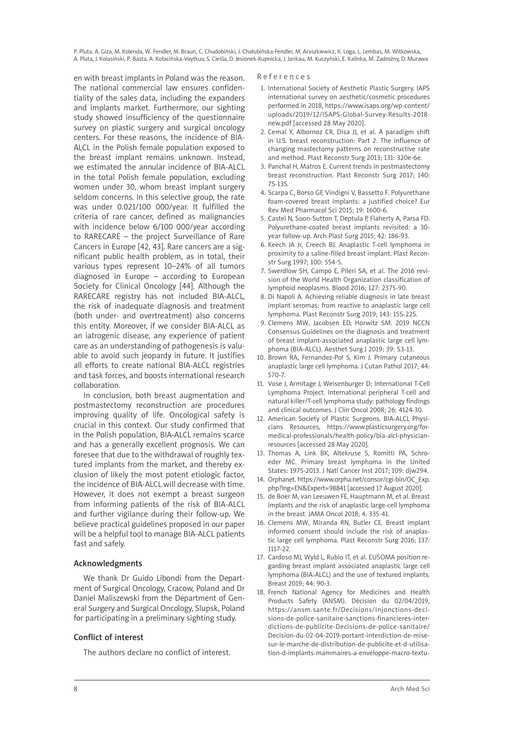P. Pluta, A. Giza, M. Kolenda, W. Fendler, M. Braun, C. Chudobiński, J. Chałubińska-Fendler, M. Araszkiewicz, K. Loga, L. Lembas, M. Witkowska, A. Pluta, J. Kolasiński, P. Basta, A. Kołacińska-Voytkuv, S. Cieśla, D. Jesionek-Kupnicka, J. Jankau, M. Kuczyński, E. Kalinka, M. Zadrożny, D. Murawa

en with breast implants in Poland was the reason. The national commercial law ensures confidentiality of the sales data, including the expanders and implants market. Furthermore, our sighting study showed insufficiency of the questionnaire survey on plastic surgery and surgical oncology centers. For these reasons, the incidence of BIA-ALCL in the Polish female population exposed to the breast implant remains unknown. Instead, we estimated the annular incidence of BIA-ALCL in the total Polish female population, excluding women under 30, whom breast implant surgery seldom concerns. In this selective group, the rate was under 0.021/100 000/year. It fulfilled the criteria of rare cancer, defined as malignancies with incidence below 6/100 000/year according to RARECARE – the project Surveillance of Rare Cancers in Europe [42, 43]. Rare cancers are a significant public health problem, as in total, their various types represent 10–24% of all tumors diagnosed in Europe – according to European Society for Clinical Oncology [44]. Although the RARECARE registry has not included BIA-ALCL, the risk of inadequate diagnosis and treatment (both under- and overtreatment) also concerns this entity. Moreover, if we consider BIA-ALCL as an iatrogenic disease, any experience of patient care as an understanding of pathogenesis is valuable to avoid such jeopardy in future. It justifies all efforts to create national BIA-ALCL registries and task forces, and boosts international research collaboration.

In conclusion, both breast augmentation and postmastectomy reconstruction are procedures improving quality of life. Oncological safety is crucial in this context. Our study confirmed that in the Polish population, BIA-ALCL remains scarce and has a generally excellent prognosis. We can foresee that due to the withdrawal of roughly textured implants from the market, and thereby exclusion of likely the most potent etiologic factor, the incidence of BIA-ALCL will decrease with time. However, it does not exempt a breast surgeon from informing patients of the risk of BIA-ALCL and further vigilance during their follow-up. We believe practical guidelines proposed in our paper will be a helpful tool to manage BIA-ALCL patients fast and safely.

### Acknowledgments

We thank Dr Guido Libondi from the Department of Surgical Oncology, Cracow, Poland and Dr Daniel Maliszewski from the Department of General Surgery and Surgical Oncology, Slupsk, Poland for participating in a preliminary sighting study.

## Conflict of interest

The authors declare no conflict of interest.

R e f e r e n c e s

- 1. International Society of Aesthetic Plastic Surgery. IAPS international survey on aesthetic/cosmetic procedures performed in 2018, https://www.isaps.org/wp-content/ uploads/2019/12/ISAPS-Global-Survey-Results-2018 new.pdf [accessed 28 May 2020].
- 2. Cemal Y, Albornoz CR, Disa JJ, et al. A paradigm shift in U.S. breast reconstruction: Part 2. The influence of changing mastectomy patterns on reconstructive rate and method. Plast Reconstr Surg 2013; 131: 320e-6e.
- 3. Panchal H, Matros E. Current trends in postmastectomy breast reconstruction. Plast Reconstr Surg 2017; 140: 7S-13S.
- 4. Scarpa C, Borso GF, Vindigni V, Bassetto F. Polyurethane foam-covered breast implants: a justified choice? Eur Rev Med Pharmacol Sci 2015; 19: 1600-6.
- 5. Castel N, Soon-Sutton T, Deptula P, Flaherty A, Parsa FD. Polyurethane-coated breast implants revisited: a 30 year follow-up. Arch Plast Surg 2015; 42: 186-93.
- 6. Keech JA Jr, Creech BJ. Anaplastic T-cell lymphoma in proximity to a saline-filled breast implant. Plast Reconstr Surg 1997; 100: 554-5.
- 7. Swerdlow SH, Campo E, Pileri SA, et al. The 2016 revision of the World Health Organization classification of lymphoid neoplasms. Blood 2016; 127: 2375-90.
- 8. Di Napoli A. Achieving reliable diagnosis in late breast implant seromas: from reactive to anaplastic large cell lymphoma. Plast Reconstr Surg 2019; 143: 15S-22S.
- 9. Clemens MW, Jacobsen ED, Horwitz SM. 2019 NCCN Consensus Guidelines on the diagnosis and treatment of breast implant-associated anaplastic large cell lymphoma (BIA-ALCL). Aesthet Surg J 2019; 39: S3-13.
- 10. Brown RA, Fernandez-Pol S, Kim J. Primary cutaneous anaplastic large cell lymphoma. J Cutan Pathol 2017; 44: 570-7.
- 11. Vose J, Armitage J, Weisenburger D; International T-Cell Lymphoma Project. International peripheral T-cell and natural killer/T-cell lymphoma study: pathology findings and clinical outcomes. J Clin Oncol 2008; 26: 4124-30.
- 12. American Society of Plastic Surgeons. BIA-ALCL Physicians Resources, https://www.plasticsurgery.org/formedical-professionals/health-policy/bia-alcl-physicianresources [accessed 28 May 2020].
- 13. Thomas A, Link BK, Altekruse S, Romitti PA, Schroeder MC. Primary breast lymphoma in the United States: 1975-2013. J Natl Cancer Inst 2017; 109: djw294.
- 14. Orphanet. https://www.orpha.net/consor/cgi-bin/OC\_Exp. php?lng=EN&Expert=98841 [accessed 17 August 2020].
- 15. de Boer M, van Leeuwen FE, Hauptmann M, et al. Breast implants and the risk of anaplastic large-cell lymphoma in the breast. JAMA Oncol 2018; 4: 335-41.
- 16. Clemens MW, Miranda RN, Butler CE. Breast implant informed consent should include the risk of anaplastic large cell lymphoma. Plast Reconstr Surg 2016; 137: 1117-22.
- 17. Cardoso MJ, Wyld L, Rubio IT, et al. EUSOMA position regarding breast implant associated anaplastic large cell lymphoma (BIA-ALCL) and the use of textured implants. Breast 2019; 44: 90-3.
- 18. French National Agency for Medicines and Health Products Safety (ANSM). Décision du 02/04/2019, https://ansm.sante.fr/Decisions/Injonctions-decisions-de-police-sanitaire-sanctions-financieres-interdictions-de-publicite-Decisions-de-police-sanitaire/ Decision-du-02-04-2019-portant-interdiction-de-misesur-le-marche-de-distribution-de-publicite-et-d-utilisation-d-implants-mammaires-a-enveloppe-macro-textu-